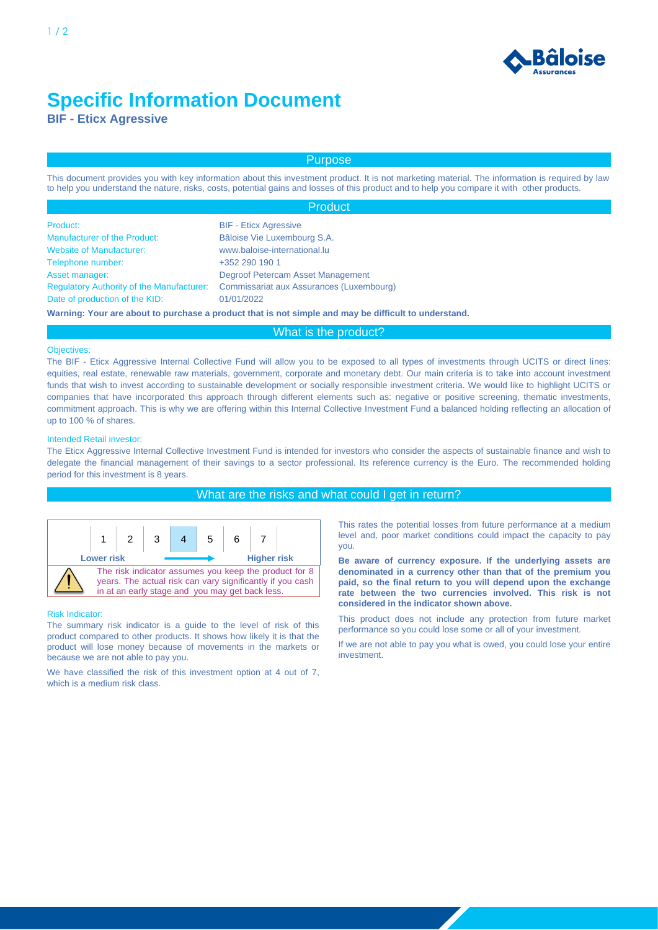

# **Specific Information Document**

**BIF - Eticx Agressive**

# Purpose

This document provides you with key information about this investment product. It is not marketing material. The information is required by law to help you understand the nature, risks, costs, potential gains and losses of this product and to help you compare it with other products.

|                                                  | <b>Product</b>                                                                                       |
|--------------------------------------------------|------------------------------------------------------------------------------------------------------|
| Product:                                         | <b>BIF - Eticx Agressive</b>                                                                         |
| <b>Manufacturer of the Product:</b>              | Bâloise Vie Luxembourg S.A.                                                                          |
| <b>Website of Manufacturer:</b>                  | www.baloise-international.lu                                                                         |
| Telephone number:                                | +352 290 190 1                                                                                       |
| Asset manager:                                   | Degroof Petercam Asset Management                                                                    |
| <b>Regulatory Authority of the Manufacturer:</b> | Commissariat aux Assurances (Luxembourg)                                                             |
| Date of production of the KID:                   | 01/01/2022                                                                                           |
|                                                  | Warning: Your are about to purchase a product that is not simple and may be difficult to understand. |

# What is the product?

### **Objectives:**

The BIF - Eticx Aggressive Internal Collective Fund will allow you to be exposed to all types of investments through UCITS or direct lines: equities, real estate, renewable raw materials, government, corporate and monetary debt. Our main criteria is to take into account investment funds that wish to invest according to sustainable development or socially responsible investment criteria. We would like to highlight UCITS or companies that have incorporated this approach through different elements such as: negative or positive screening, thematic investments, commitment approach. This is why we are offering within this Internal Collective Investment Fund a balanced holding reflecting an allocation of up to 100 % of shares.

#### Intended Retail investor:

The Eticx Aggressive Internal Collective Investment Fund is intended for investors who consider the aspects of sustainable finance and wish to delegate the financial management of their savings to a sector professional. Its reference currency is the Euro. The recommended holding period for this investment is 8 years.

# What are the risks and what could I get in return?



#### Risk Indicator:

The summary risk indicator is a guide to the level of risk of this product compared to other products. It shows how likely it is that the product will lose money because of movements in the markets or because we are not able to pay you.

We have classified the risk of this investment option at 4 out of 7, which is a medium risk class.

This rates the potential losses from future performance at a medium level and, poor market conditions could impact the capacity to pay you.

**Be aware of currency exposure. If the underlying assets are denominated in a currency other than that of the premium you paid, so the final return to you will depend upon the exchange rate between the two currencies involved. This risk is not considered in the indicator shown above.**

This product does not include any protection from future market performance so you could lose some or all of your investment.

If we are not able to pay you what is owed, you could lose your entire investment.